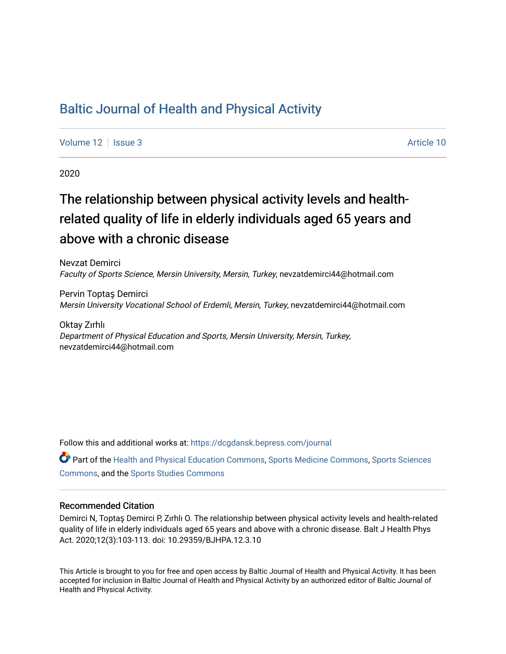# [Baltic Journal of Health and Physical Activity](https://dcgdansk.bepress.com/journal)

[Volume 12](https://dcgdansk.bepress.com/journal/vol12) | [Issue 3](https://dcgdansk.bepress.com/journal/vol12/iss3) Article 10

2020

# The relationship between physical activity levels and healthrelated quality of life in elderly individuals aged 65 years and above with a chronic disease

Nevzat Demirci Faculty of Sports Science, Mersin University, Mersin, Turkey, nevzatdemirci44@hotmail.com

Pervin Toptaş Demirci Mersin University Vocational School of Erdemli, Mersin, Turkey, nevzatdemirci44@hotmail.com

Oktay Zırhlı Department of Physical Education and Sports, Mersin University, Mersin, Turkey, nevzatdemirci44@hotmail.com

Follow this and additional works at: [https://dcgdansk.bepress.com/journal](https://dcgdansk.bepress.com/journal?utm_source=dcgdansk.bepress.com%2Fjournal%2Fvol12%2Fiss3%2F10&utm_medium=PDF&utm_campaign=PDFCoverPages)

Part of the [Health and Physical Education Commons](http://network.bepress.com/hgg/discipline/1327?utm_source=dcgdansk.bepress.com%2Fjournal%2Fvol12%2Fiss3%2F10&utm_medium=PDF&utm_campaign=PDFCoverPages), [Sports Medicine Commons,](http://network.bepress.com/hgg/discipline/1331?utm_source=dcgdansk.bepress.com%2Fjournal%2Fvol12%2Fiss3%2F10&utm_medium=PDF&utm_campaign=PDFCoverPages) [Sports Sciences](http://network.bepress.com/hgg/discipline/759?utm_source=dcgdansk.bepress.com%2Fjournal%2Fvol12%2Fiss3%2F10&utm_medium=PDF&utm_campaign=PDFCoverPages) [Commons](http://network.bepress.com/hgg/discipline/759?utm_source=dcgdansk.bepress.com%2Fjournal%2Fvol12%2Fiss3%2F10&utm_medium=PDF&utm_campaign=PDFCoverPages), and the [Sports Studies Commons](http://network.bepress.com/hgg/discipline/1198?utm_source=dcgdansk.bepress.com%2Fjournal%2Fvol12%2Fiss3%2F10&utm_medium=PDF&utm_campaign=PDFCoverPages) 

#### Recommended Citation

Demirci N, Toptaş Demirci P, Zırhlı O. The relationship between physical activity levels and health-related quality of life in elderly individuals aged 65 years and above with a chronic disease. Balt J Health Phys Act. 2020;12(3):103-113. doi: 10.29359/BJHPA.12.3.10

This Article is brought to you for free and open access by Baltic Journal of Health and Physical Activity. It has been accepted for inclusion in Baltic Journal of Health and Physical Activity by an authorized editor of Baltic Journal of Health and Physical Activity.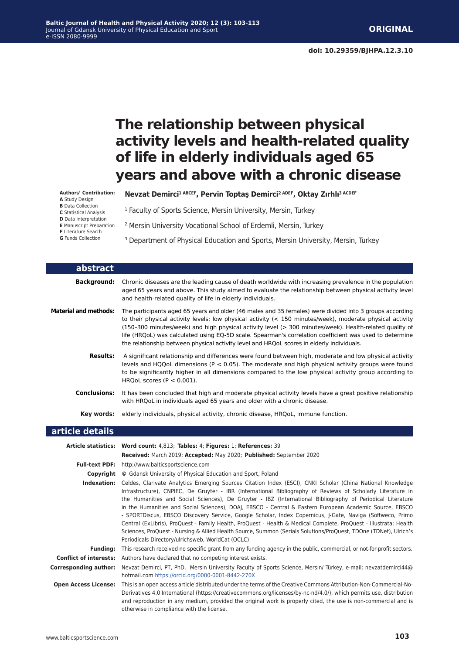# **The relationship between physical activity levels and health-related quality of life in elderly individuals aged 65 years and above with a chronic disease**

#### **Authors' Contribution:**

- **A** Study Design
- **B** Data Collection **C** Statistical Analysis
- **D** Data Interpretation
- **E** Manuscript Preparation
- **F** Literature Search
- **G** Funds Collection
- **Nevzat Demirci1 ABCEF, Pervin Toptaş Demirci2 ADEF, Oktay Zırhlı3 ACDEF**
- 1 Faculty of Sports Science, Mersin University, Mersin, Turkey
- 2 Mersin University Vocational School of Erdemli, Mersin, Turkey
- <sup>3</sup> Department of Physical Education and Sports, Mersin University, Mersin, Turkey

| abstract                     |                                                                                                                                                                                                                                                                                                                                                                                                                                                                                                                                         |
|------------------------------|-----------------------------------------------------------------------------------------------------------------------------------------------------------------------------------------------------------------------------------------------------------------------------------------------------------------------------------------------------------------------------------------------------------------------------------------------------------------------------------------------------------------------------------------|
| <b>Background:</b>           | Chronic diseases are the leading cause of death worldwide with increasing prevalence in the population<br>aged 65 years and above. This study aimed to evaluate the relationship between physical activity level<br>and health-related quality of life in elderly individuals.                                                                                                                                                                                                                                                          |
| <b>Material and methods:</b> | The participants aged 65 years and older (46 males and 35 females) were divided into 3 groups according<br>to their physical activity levels: low physical activity (< 150 minutes/week), moderate physical activity<br>(150-300 minutes/week) and high physical activity level (> 300 minutes/week). Health-related quality of<br>life (HRQoL) was calculated using EQ-5D scale. Spearman's correlation coefficient was used to determine<br>the relationship between physical activity level and HRQoL scores in elderly individuals. |
| <b>Results:</b>              | A significant relationship and differences were found between high, moderate and low physical activity<br>levels and HQQoL dimensions ( $P < 0.05$ ). The moderate and high physical activity groups were found<br>to be significantly higher in all dimensions compared to the low physical activity group according to<br>HRQoL scores ( $P < 0.001$ ).                                                                                                                                                                               |
| <b>Conclusions:</b>          | It has been concluded that high and moderate physical activity levels have a great positive relationship<br>with HRQoL in individuals aged 65 years and older with a chronic disease.                                                                                                                                                                                                                                                                                                                                                   |
| Key words:                   | elderly individuals, physical activity, chronic disease, HRQoL, immune function.                                                                                                                                                                                                                                                                                                                                                                                                                                                        |
| article details              |                                                                                                                                                                                                                                                                                                                                                                                                                                                                                                                                         |
|                              | Article statistics: Word count: 4,813; Tables: 4; Figures: 1; References: 39<br>Received: March 2019; Accepted: May 2020; Published: September 2020                                                                                                                                                                                                                                                                                                                                                                                     |
| <b>Full-text PDF:</b>        | http://www.balticsportscience.com                                                                                                                                                                                                                                                                                                                                                                                                                                                                                                       |
|                              | <b>Copyright</b> © Gdansk University of Physical Education and Sport, Poland                                                                                                                                                                                                                                                                                                                                                                                                                                                            |
|                              | Indexation: Celdes, Clarivate Analytics Emerging Sources Citation Index (ESCI), CNKI Scholar (China National Knowledge<br>Infrastructure), CNPIEC, De Gruyter - IBR (International Bibliography of Reviews of Scholarly Literature in<br>the Humanities and Social Sciences), De Gruyter - IBZ (International Bibliography of Periodical Literature<br>in the Humanities and Social Sciences), DOAJ, EBSCO - Central & Eastern European Academic Source, EBSCO                                                                          |

- SPORTDiscus, EBSCO Discovery Service, Google Scholar, Index Copernicus, J-Gate, Naviga (Softweco, Primo Central (ExLibris), ProQuest - Family Health, ProQuest - Health & Medical Complete, ProQuest - Illustrata: Health Sciences, ProQuest - Nursing & Allied Health Source, Summon (Serials Solutions/ProQuest, TDOne (TDNet), Ulrich's Periodicals Directory/ulrichsweb, WorldCat (OCLC)

**Funding:** This research received no specific grant from any funding agency in the public, commercial, or not-for-profit sectors. **Conflict of interests:** Authors have declared that no competing interest exists.

**Corresponding author:** Nevzat Demirci, PT, PhD, Mersin University Faculty of Sports Science, Mersin/ Türkey, e-mail: nevzatdemirci44@ hotmail.com<https://orcid.org/0000-0001-8442-270X>

**Open Access License:** This is an open access article distributed under the terms of the Creative Commons Attribution-Non-Commercial-No-Derivatives 4.0 International (https://creativecommons.org/licenses/by-nc-nd/4.0/), which permits use, distribution and reproduction in any medium, provided the original work is properly cited, the use is non-commercial and is otherwise in compliance with the license.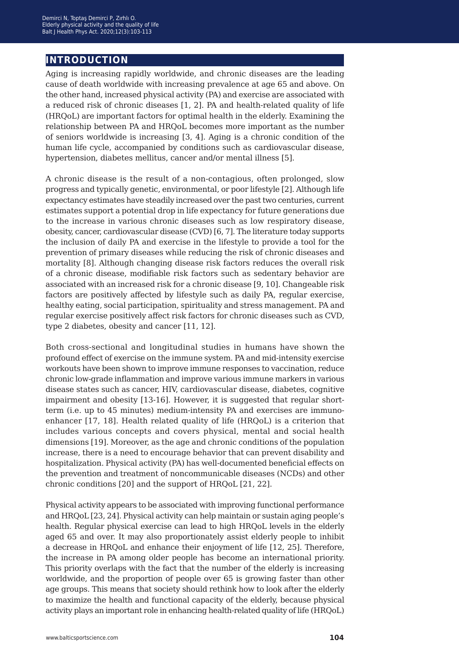# **introduction**

Aging is increasing rapidly worldwide, and chronic diseases are the leading cause of death worldwide with increasing prevalence at age 65 and above. On the other hand, increased physical activity (PA) and exercise are associated with a reduced risk of chronic diseases [1, 2]. PA and health-related quality of life (HRQoL) are important factors for optimal health in the elderly. Examining the relationship between PA and HRQoL becomes more important as the number of seniors worldwide is increasing [3, 4]. Aging is a chronic condition of the human life cycle, accompanied by conditions such as cardiovascular disease, hypertension, diabetes mellitus, cancer and/or mental illness [5].

A chronic disease is the result of a non-contagious, often prolonged, slow progress and typically genetic, environmental, or poor lifestyle [2]. Although life expectancy estimates have steadily increased over the past two centuries, current estimates support a potential drop in life expectancy for future generations due to the increase in various chronic diseases such as low respiratory disease, obesity, cancer, cardiovascular disease (CVD) [6, 7]. The literature today supports the inclusion of daily PA and exercise in the lifestyle to provide a tool for the prevention of primary diseases while reducing the risk of chronic diseases and mortality [8]. Although changing disease risk factors reduces the overall risk of a chronic disease, modifiable risk factors such as sedentary behavior are associated with an increased risk for a chronic disease [9, 10]. Changeable risk factors are positively affected by lifestyle such as daily PA, regular exercise, healthy eating, social participation, spirituality and stress management. PA and regular exercise positively affect risk factors for chronic diseases such as CVD, type 2 diabetes, obesity and cancer [11, 12].

Both cross-sectional and longitudinal studies in humans have shown the profound effect of exercise on the immune system. PA and mid-intensity exercise workouts have been shown to improve immune responses to vaccination, reduce chronic low-grade inflammation and improve various immune markers in various disease states such as cancer, HIV, cardiovascular disease, diabetes, cognitive impairment and obesity [13-16]. However, it is suggested that regular shortterm (i.e. up to 45 minutes) medium-intensity PA and exercises are immunoenhancer [17, 18]. Health related quality of life (HRQoL) is a criterion that includes various concepts and covers physical, mental and social health dimensions [19]. Moreover, as the age and chronic conditions of the population increase, there is a need to encourage behavior that can prevent disability and hospitalization. Physical activity (PA) has well-documented beneficial effects on the prevention and treatment of noncommunicable diseases (NCDs) and other chronic conditions [20] and the support of HRQoL [21, 22].

Physical activity appears to be associated with improving functional performance and HRQoL [23, 24]. Physical activity can help maintain or sustain aging people's health. Regular physical exercise can lead to high HRQoL levels in the elderly aged 65 and over. It may also proportionately assist elderly people to inhibit a decrease in HRQoL and enhance their enjoyment of life [12, 25]. Therefore, the increase in PA among older people has become an international priority. This priority overlaps with the fact that the number of the elderly is increasing worldwide, and the proportion of people over 65 is growing faster than other age groups. This means that society should rethink how to look after the elderly to maximize the health and functional capacity of the elderly, because physical activity plays an important role in enhancing health-related quality of life (HRQoL)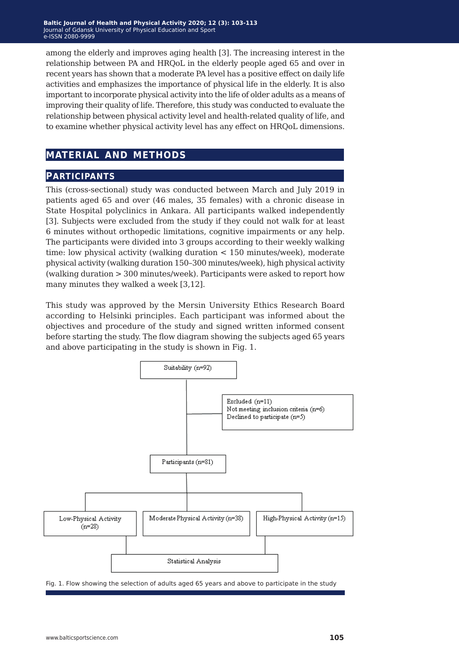among the elderly and improves aging health [3]. The increasing interest in the relationship between PA and HRQoL in the elderly people aged 65 and over in recent years has shown that a moderate PA level has a positive effect on daily life activities and emphasizes the importance of physical life in the elderly. It is also important to incorporate physical activity into the life of older adults as a means of improving their quality of life. Therefore, this study was conducted to evaluate the relationship between physical activity level and health-related quality of life, and to examine whether physical activity level has any effect on HRQoL dimensions.

# **material and methods**

#### **participants**

This (cross-sectional) study was conducted between March and July 2019 in patients aged 65 and over (46 males, 35 females) with a chronic disease in State Hospital polyclinics in Ankara. All participants walked independently [3]. Subjects were excluded from the study if they could not walk for at least 6 minutes without orthopedic limitations, cognitive impairments or any help. The participants were divided into 3 groups according to their weekly walking time: low physical activity (walking duration < 150 minutes/week), moderate physical activity (walking duration 150–300 minutes/week), high physical activity (walking duration > 300 minutes/week). Participants were asked to report how many minutes they walked a week [3,12].

This study was approved by the Mersin University Ethics Research Board according to Helsinki principles. Each participant was informed about the objectives and procedure of the study and signed written informed consent before starting the study. The flow diagram showing the subjects aged 65 years and above participating in the study is shown in Fig. 1.



Fig. 1. Flow showing the selection of adults aged 65 years and above to participate in the study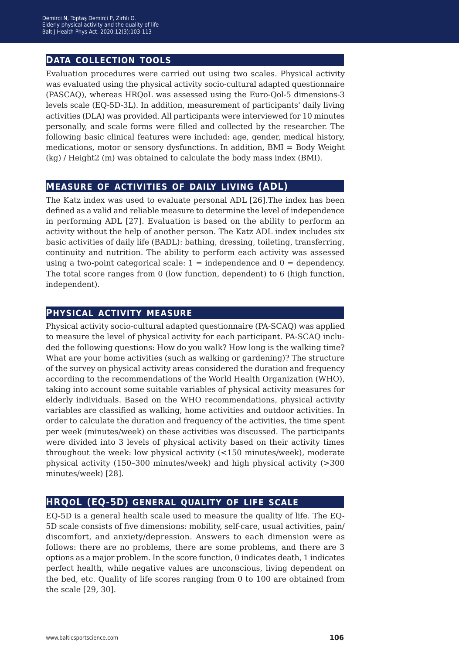#### **data collection tools**

Evaluation procedures were carried out using two scales. Physical activity was evaluated using the physical activity socio-cultural adapted questionnaire (PASCAQ), whereas HRQoL was assessed using the Euro-Qol-5 dimensions-3 levels scale (EQ-5D-3L). In addition, measurement of participants' daily living activities (DLA) was provided. All participants were interviewed for 10 minutes personally, and scale forms were filled and collected by the researcher. The following basic clinical features were included: age, gender, medical history, medications, motor or sensory dysfunctions. In addition, BMI = Body Weight (kg) / Height2 (m) was obtained to calculate the body mass index (BMI).

#### **measure of activities of daily living (ADL)**

The Katz index was used to evaluate personal ADL [26].The index has been defined as a valid and reliable measure to determine the level of independence in performing ADL [27]. Evaluation is based on the ability to perform an activity without the help of another person. The Katz ADL index includes six basic activities of daily life (BADL): bathing, dressing, toileting, transferring, continuity and nutrition. The ability to perform each activity was assessed using a two-point categorical scale:  $1 =$  independence and  $0 =$  dependency. The total score ranges from 0 (low function, dependent) to 6 (high function, independent).

## **physical activity measure**

Physical activity socio-cultural adapted questionnaire (PA-SCAQ) was applied to measure the level of physical activity for each participant. PA-SCAQ included the following questions: How do you walk? How long is the walking time? What are your home activities (such as walking or gardening)? The structure of the survey on physical activity areas considered the duration and frequency according to the recommendations of the World Health Organization (WHO), taking into account some suitable variables of physical activity measures for elderly individuals. Based on the WHO recommendations, physical activity variables are classified as walking, home activities and outdoor activities. In order to calculate the duration and frequency of the activities, the time spent per week (minutes/week) on these activities was discussed. The participants were divided into 3 levels of physical activity based on their activity times throughout the week: low physical activity (<150 minutes/week), moderate physical activity (150–300 minutes/week) and high physical activity (>300 minutes/week) [28].

## **hrqol (EQ-5D) general quality of life scale**

EQ-5D is a general health scale used to measure the quality of life. The EQ-5D scale consists of five dimensions: mobility, self-care, usual activities, pain/ discomfort, and anxiety/depression. Answers to each dimension were as follows: there are no problems, there are some problems, and there are 3 options as a major problem. In the score function, 0 indicates death, 1 indicates perfect health, while negative values are unconscious, living dependent on the bed, etc. Quality of life scores ranging from 0 to 100 are obtained from the scale [29, 30].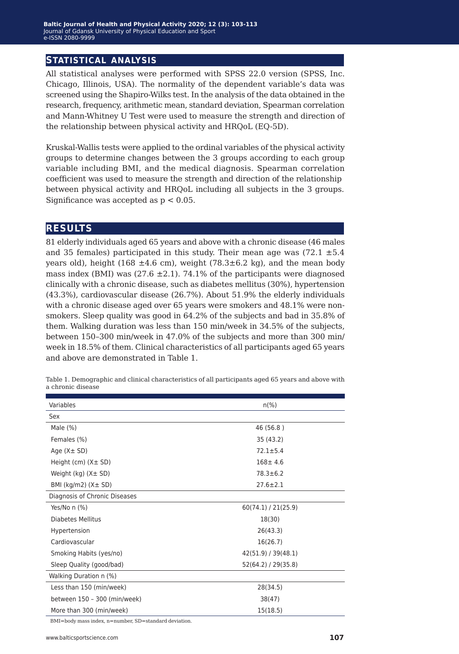## **statistical analysis**

All statistical analyses were performed with SPSS 22.0 version (SPSS, Inc. Chicago, Illinois, USA). The normality of the dependent variable's data was screened using the Shapiro-Wilks test. In the analysis of the data obtained in the research, frequency, arithmetic mean, standard deviation, Spearman correlation and Mann-Whitney U Test were used to measure the strength and direction of the relationship between physical activity and HRQoL (EQ-5D).

Kruskal-Wallis tests were applied to the ordinal variables of the physical activity groups to determine changes between the 3 groups according to each group variable including BMI, and the medical diagnosis. Spearman correlation coefficient was used to measure the strength and direction of the relationship between physical activity and HRQoL including all subjects in the 3 groups. Significance was accepted as  $p < 0.05$ .

#### **results**

81 elderly individuals aged 65 years and above with a chronic disease (46 males and 35 females) participated in this study. Their mean age was  $(72.1 \pm 5.4)$ years old), height (168  $\pm 4.6$  cm), weight (78.3 $\pm$ 6.2 kg), and the mean body mass index (BMI) was  $(27.6 \pm 2.1)$ . 74.1% of the participants were diagnosed clinically with a chronic disease, such as diabetes mellitus (30%), hypertension (43.3%), cardiovascular disease (26.7%). About 51.9% the elderly individuals with a chronic disease aged over 65 years were smokers and 48.1% were nonsmokers. Sleep quality was good in 64.2% of the subjects and bad in 35.8% of them. Walking duration was less than 150 min/week in 34.5% of the subjects, between 150–300 min/week in 47.0% of the subjects and more than 300 min/ week in 18.5% of them. Clinical characteristics of all participants aged 65 years and above are demonstrated in Table 1.

| Variables                      | $n(\%)$             |  |  |
|--------------------------------|---------------------|--|--|
| Sex                            |                     |  |  |
| Male $(\%)$                    | 46 (56.8)           |  |  |
| Females (%)                    | 35 (43.2)           |  |  |
| Age $(X \pm SD)$               | $72.1 \pm 5.4$      |  |  |
| Height (cm) $(X \pm SD)$       | $168 \pm 4.6$       |  |  |
| Weight $(kg)$ $(X \pm SD)$     | $78.3 \pm 6.2$      |  |  |
| BMI ( $kg/m2$ ) ( $X \pm SD$ ) | $27.6 \pm 2.1$      |  |  |
| Diagnosis of Chronic Diseases  |                     |  |  |
| Yes/No n (%)                   | 60(74.1) / 21(25.9) |  |  |
| Diabetes Mellitus              | 18(30)              |  |  |
| Hypertension                   | 26(43.3)            |  |  |
| Cardiovascular                 | 16(26.7)            |  |  |
| Smoking Habits (yes/no)        | 42(51.9) / 39(48.1) |  |  |
| Sleep Quality (good/bad)       | 52(64.2) / 29(35.8) |  |  |
| Walking Duration n (%)         |                     |  |  |
| Less than 150 (min/week)       | 28(34.5)            |  |  |
| between 150 - 300 (min/week)   | 38(47)              |  |  |
| More than 300 (min/week)       | 15(18.5)            |  |  |

Table 1. Demographic and clinical characteristics of all participants aged 65 years and above with a chronic disease

BMI=body mass index, n=number, SD=standard deviation.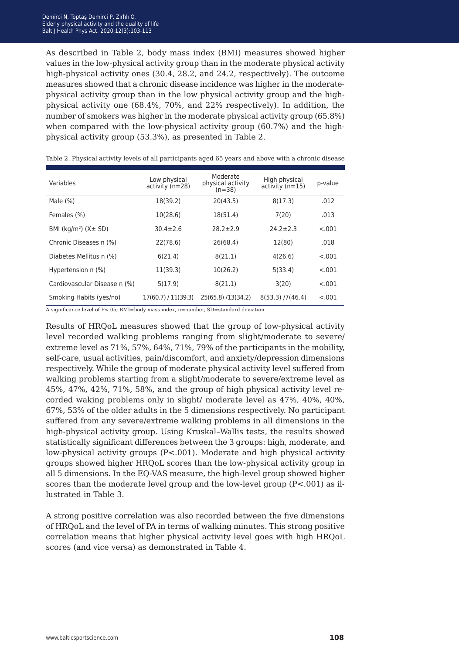As described in Table 2, body mass index (BMI) measures showed higher values in the low-physical activity group than in the moderate physical activity high-physical activity ones (30.4, 28.2, and 24.2, respectively). The outcome measures showed that a chronic disease incidence was higher in the moderatephysical activity group than in the low physical activity group and the highphysical activity one (68.4%, 70%, and 22% respectively). In addition, the number of smokers was higher in the moderate physical activity group (65.8%) when compared with the low-physical activity group (60.7%) and the highphysical activity group (53.3%), as presented in Table 2.

| Variables                                            | Low physical<br>$activity (n=28)$ | Moderate<br>physical activity<br>$(n=38)$ | High physical<br>$activity (n=15)$ | p-value |
|------------------------------------------------------|-----------------------------------|-------------------------------------------|------------------------------------|---------|
| Male $(\%)$                                          | 18(39.2)                          | 20(43.5)                                  | 8(17.3)                            | .012    |
| Females (%)                                          | 10(28.6)                          | 18(51.4)                                  | 7(20)                              | .013    |
| BMI ( $\text{kg/m}^2$ ) ( $\text{X} \pm \text{SD}$ ) | $30.4 \pm 2.6$                    | $28.2 \pm 2.9$                            | $24.2 \pm 2.3$                     | < .001  |
| Chronic Diseases n (%)                               | 22(78.6)                          | 26(68.4)                                  | 12(80)                             | .018    |
| Diabetes Mellitus n (%)                              | 6(21.4)                           | 8(21.1)                                   | 4(26.6)                            | < .001  |
| Hypertension n (%)                                   | 11(39.3)                          | 10(26.2)                                  | 5(33.4)                            | < .001  |
| Cardiovascular Disease n (%)                         | 5(17.9)                           | 8(21.1)                                   | 3(20)                              | $-.001$ |
| Smoking Habits (yes/no)                              | 17(60.7) / 11(39.3)               | 25(65.8)/13(34.2)                         | $8(53.3)$ /7(46.4)                 | $-.001$ |

Table 2. Physical activity levels of all participants aged 65 years and above with a chronic disease

A significance level of P<.05; BMI=body mass index, n=number, SD=standard deviation

Results of HRQoL measures showed that the group of low-physical activity level recorded walking problems ranging from slight/moderate to severe/ extreme level as 71%, 57%, 64%, 71%, 79% of the participants in the mobility, self-care, usual activities, pain/discomfort, and anxiety/depression dimensions respectively. While the group of moderate physical activity level suffered from walking problems starting from a slight/moderate to severe/extreme level as 45%, 47%, 42%, 71%, 58%, and the group of high physical activity level recorded waking problems only in slight/ moderate level as 47%, 40%, 40%, 67%, 53% of the older adults in the 5 dimensions respectively. No participant suffered from any severe/extreme walking problems in all dimensions in the high-physical activity group. Using Kruskal–Wallis tests, the results showed statistically significant differences between the 3 groups: high, moderate, and low-physical activity groups  $(P<.001)$ . Moderate and high physical activity groups showed higher HRQoL scores than the low-physical activity group in all 5 dimensions. In the EQ-VAS measure, the high-level group showed higher scores than the moderate level group and the low-level group (P<.001) as illustrated in Table 3.

A strong positive correlation was also recorded between the five dimensions of HRQoL and the level of PA in terms of walking minutes. This strong positive correlation means that higher physical activity level goes with high HRQoL scores (and vice versa) as demonstrated in Table 4.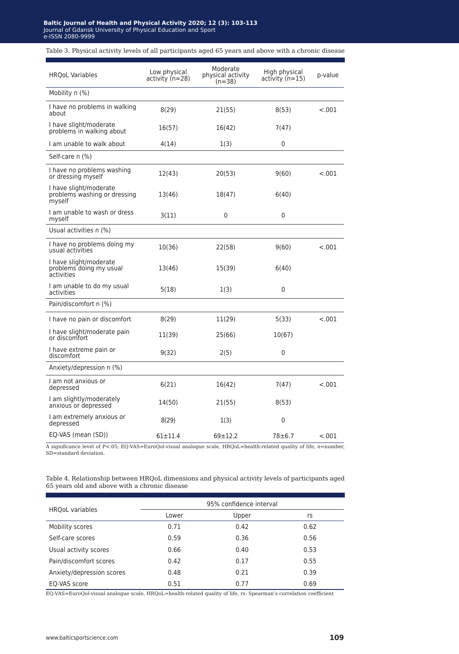#### altic lournal of He  $\sigma$ burnal of Gdansk University of Physical Education and Sport Baltis J Health Phys Act 2014; 10: 234-2444; 1(1): 234-2444; 1(1): 234-2444; 1(1): 234-2444; 1(1): 234-2444; 2 **Baltic Journal of Health and Physical Activity 2020; 12 (3): 103-113** Journal of Gdansk University of Physical Education and Sport e-ISSN 2080-9999

#### Table 3. Physical activity levels of all participants aged 65 years and above with a chronic disease

| <b>HROoL Variables</b>                                           | Low physical<br>activity $(n=28)$ | Moderate<br>physical activity<br>$(n=38)$ | High physical<br>activity (n=15) | p-value |
|------------------------------------------------------------------|-----------------------------------|-------------------------------------------|----------------------------------|---------|
| Mobility n (%)                                                   |                                   |                                           |                                  |         |
| I have no problems in walking<br>about                           | 8(29)                             | 21(55)                                    | 8(53)                            | $-.001$ |
| I have slight/moderate<br>problems in walking about              | 16(57)                            | 16(42)                                    | 7(47)                            |         |
| I am unable to walk about                                        | 4(14)                             | 1(3)                                      | 0                                |         |
| Self-care n (%)                                                  |                                   |                                           |                                  |         |
| I have no problems washing<br>or dressing myself                 | 12(43)                            | 20(53)                                    | 9(60)                            | $-.001$ |
| I have slight/moderate<br>problems washing or dressing<br>myself | 13(46)                            | 18(47)                                    | 6(40)                            |         |
| I am unable to wash or dress<br>myself                           | 3(11)                             | 0                                         | 0                                |         |
| Usual activities n (%)                                           |                                   |                                           |                                  |         |
| I have no problems doing my<br>usual activities                  | 10(36)                            | 22(58)                                    | 9(60)                            | < .001  |
| I have slight/moderate<br>problems doing my usual<br>activities  | 13(46)                            | 15(39)                                    | 6(40)                            |         |
| I am unable to do my usual<br>activities                         | 5(18)                             | 1(3)                                      | $\mathbf{0}$                     |         |
| Pain/discomfort n (%)                                            |                                   |                                           |                                  |         |
| I have no pain or discomfort                                     | 8(29)                             | 11(29)                                    | 5(33)                            | < .001  |
| I have slight/moderate pain<br>or discomfort                     | 11(39)                            | 25(66)                                    | 10(67)                           |         |
| I have extreme pain or<br>discomfort                             | 9(32)                             | 2(5)                                      | 0                                |         |
| Anxiety/depression n (%)                                         |                                   |                                           |                                  |         |
| I am not anxious or<br>depressed                                 | 6(21)                             | 16(42)                                    | 7(47)                            | $-.001$ |
| I am slightly/moderately<br>anxious or depressed                 | 14(50)                            | 21(55)                                    | 8(53)                            |         |
| I am extremely anxious or<br>depressed                           | 8(29)                             | 1(3)                                      | 0                                |         |
| EQ-VAS (mean (SD))                                               | $61 + 11.4$                       | $69 + 12.2$                               | $78 + 6.7$                       | $-.001$ |

A significance level of P<.05; EQ-VAS=EuroQol-visual analogue scale, HRQoL=health-related quality of life, n=number, SD=standard deviation.

#### Table 4. Relationship between HRQoL dimensions and physical activity levels of participants aged 65 years old and above with a chronic disease

|                           | 95% confidence interval |       |      |  |
|---------------------------|-------------------------|-------|------|--|
| <b>HROoL</b> variables    | Lower                   | Upper | rs   |  |
| Mobility scores           | 0.71                    | 0.42  | 0.62 |  |
| Self-care scores          | 0.59                    | 0.36  | 0.56 |  |
| Usual activity scores     | 0.66                    | 0.40  | 0.53 |  |
| Pain/discomfort scores    | 0.42                    | 0.17  | 0.55 |  |
| Anxiety/depression scores | 0.48                    | 0.21  | 0.39 |  |
| EQ-VAS score              | 0.51                    | 0.77  | 0.69 |  |

EQ-VAS=EuroQol-visual analogue scale, HRQoL=health-related quality of life, rs: Spearman's correlation coefficient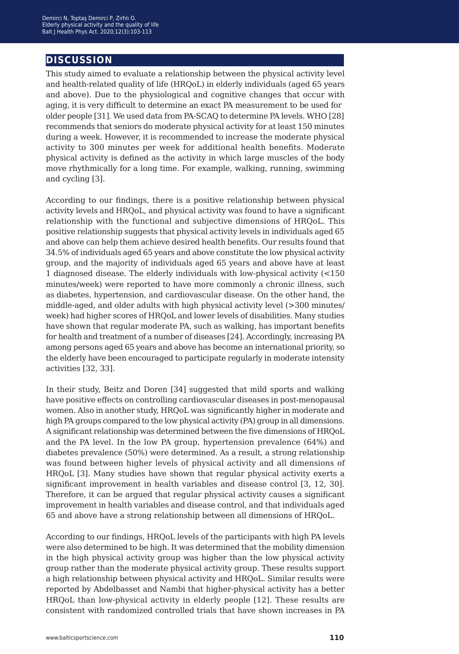# **discussion**

This study aimed to evaluate a relationship between the physical activity level and health-related quality of life (HRQoL) in elderly individuals (aged 65 years and above). Due to the physiological and cognitive changes that occur with aging, it is very difficult to determine an exact PA measurement to be used for older people [31]. We used data from PA-SCAQ to determine PA levels. WHO [28] recommends that seniors do moderate physical activity for at least 150 minutes during a week. However, it is recommended to increase the moderate physical activity to 300 minutes per week for additional health benefits. Moderate physical activity is defined as the activity in which large muscles of the body move rhythmically for a long time. For example, walking, running, swimming and cycling [3].

According to our findings, there is a positive relationship between physical activity levels and HRQoL, and physical activity was found to have a significant relationship with the functional and subjective dimensions of HRQoL. This positive relationship suggests that physical activity levels in individuals aged 65 and above can help them achieve desired health benefits. Our results found that 34.5% of individuals aged 65 years and above constitute the low physical activity group, and the majority of individuals aged 65 years and above have at least 1 diagnosed disease. The elderly individuals with low-physical activity (<150 minutes/week) were reported to have more commonly a chronic illness, such as diabetes, hypertension, and cardiovascular disease. On the other hand, the middle-aged, and older adults with high physical activity level (>300 minutes/ week) had higher scores of HRQoL and lower levels of disabilities. Many studies have shown that regular moderate PA, such as walking, has important benefits for health and treatment of a number of diseases [24]. Accordingly, increasing PA among persons aged 65 years and above has become an international priority, so the elderly have been encouraged to participate regularly in moderate intensity activities [32, 33].

In their study, Beitz and Doren [34] suggested that mild sports and walking have positive effects on controlling cardiovascular diseases in post-menopausal women. Also in another study, HRQoL was significantly higher in moderate and high PA groups compared to the low physical activity (PA) group in all dimensions. A significant relationship was determined between the five dimensions of HRQoL and the PA level. In the low PA group, hypertension prevalence (64%) and diabetes prevalence (50%) were determined. As a result, a strong relationship was found between higher levels of physical activity and all dimensions of HRQoL [3]. Many studies have shown that regular physical activity exerts a significant improvement in health variables and disease control [3, 12, 30]. Therefore, it can be argued that regular physical activity causes a significant improvement in health variables and disease control, and that individuals aged 65 and above have a strong relationship between all dimensions of HRQoL.

According to our findings, HRQoL levels of the participants with high PA levels were also determined to be high. It was determined that the mobility dimension in the high physical activity group was higher than the low physical activity group rather than the moderate physical activity group. These results support a high relationship between physical activity and HRQoL. Similar results were reported by Abdelbasset and Nambi that higher-physical activity has a better HRQoL than low-physical activity in elderly people [12]. These results are consistent with randomized controlled trials that have shown increases in PA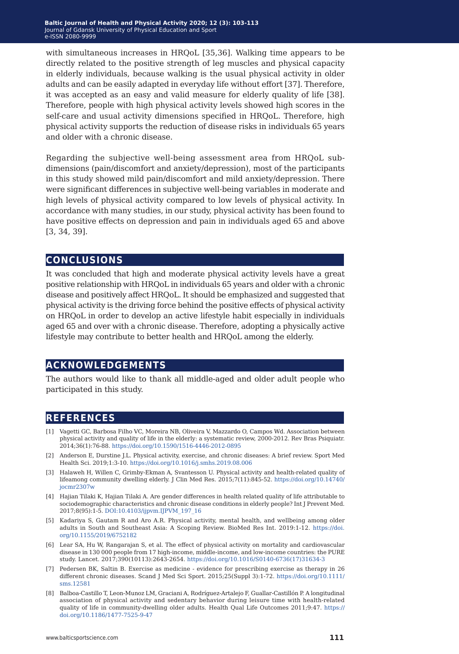with simultaneous increases in HRQoL [35,36]. Walking time appears to be directly related to the positive strength of leg muscles and physical capacity in elderly individuals, because walking is the usual physical activity in older adults and can be easily adapted in everyday life without effort [37]. Therefore, it was accepted as an easy and valid measure for elderly quality of life [38]. Therefore, people with high physical activity levels showed high scores in the self-care and usual activity dimensions specified in HRQoL. Therefore, high physical activity supports the reduction of disease risks in individuals 65 years and older with a chronic disease.

Regarding the subjective well-being assessment area from HRQoL subdimensions (pain/discomfort and anxiety/depression), most of the participants in this study showed mild pain/discomfort and mild anxiety/depression. There were significant differences in subjective well-being variables in moderate and high levels of physical activity compared to low levels of physical activity. In accordance with many studies, in our study, physical activity has been found to have positive effects on depression and pain in individuals aged 65 and above [3, 34, 39].

#### **conclusions**

It was concluded that high and moderate physical activity levels have a great positive relationship with HRQoL in individuals 65 years and older with a chronic disease and positively affect HRQoL. It should be emphasized and suggested that physical activity is the driving force behind the positive effects of physical activity on HRQoL in order to develop an active lifestyle habit especially in individuals aged 65 and over with a chronic disease. Therefore, adopting a physically active lifestyle may contribute to better health and HRQoL among the elderly.

## **acknowledgements**

The authors would like to thank all middle-aged and older adult people who participated in this study.

## **references**

- [1] Vagetti GC, Barbosa Filho VC, Moreira NB, Oliveira V, Mazzardo O, Campos Wd. Association between physical activity and quality of life in the elderly: a systematic review, 2000-2012. Rev Bras Psiquiatr. 2014;36(1):76-88. <https://doi.org/10.1590/1516-4446-2012-0895>
- [2] Anderson E, Durstine J.L. Physical activity, exercise, and chronic diseases: A brief review. Sport Med Health Sci. 2019;1:3-10. <https://doi.org/10.1016/j.smhs.2019.08.006>
- [3] Halaweh H, Willen C, Grimby-Ekman A, Svantesson U. Physical activity and health-related quality of lifeamong community dwelling elderly. J Clin Med Res. 2015;7(11):845-52. [https://doi.org/10.14740/](https://doi.org/10.14740/jocmr2307w) [jocmr2307w](https://doi.org/10.14740/jocmr2307w)
- [4] Hajian Tilaki K, Hajian Tilaki A. Are gender differences in health related quality of life attributable to sociodemographic characteristics and chronic disease conditions in elderly people? Int J Prevent Med. 2017;8(95):1-5. [DOI:10.4103/ijpvm.IJPVM\\_197\\_16](https://www.ncbi.nlm.nih.gov/pmc/articles/PMC5686916/table/T2/)
- [5] Kadariya S, Gautam R and Aro A.R. Physical activity, mental health, and wellbeing among older adults in South and Southeast Asia: A Scoping Review. BioMed Res Int. 2019:1-12. [https://doi.](https://doi.org/10.1155/2019/6752182) [org/10.1155/2019/6752182](https://doi.org/10.1155/2019/6752182)
- [6] Lear SA, Hu W, Rangarajan S, et al. The effect of physical activity on mortality and cardiovascular disease in 130 000 people from 17 high-income, middle-income, and low-income countries: the PURE study. Lancet. 2017;390(10113):2643-2654. [https://doi.org/10.1016/S0140-6736\(17\)31634-3](https://doi.org/10.1016/S0140-6736(17)31634-3)
- [7] Pedersen BK, Saltin B. Exercise as medicine evidence for prescribing exercise as therapy in 26 different chronic diseases. Scand J Med Sci Sport. 2015;25(Suppl 3):1-72. [https://doi.org/10.1111/](https://doi.org/10.1111/sms.12581) [sms.12581](https://doi.org/10.1111/sms.12581)
- [8] Balboa-Castillo T, Leon-Munoz LM, Graciani A, Rodríguez-Artalejo F, Guallar-Castillón P. A longitudinal association of physical activity and sedentary behavior during leisure time with health-related quality of life in community-dwelling older adults. Health Qual Life Outcomes 2011;9:47. [https://](https://doi.org/10.1186/1477-7525-9-47) [doi.org/10.1186/1477-7525-9-47](https://doi.org/10.1186/1477-7525-9-47)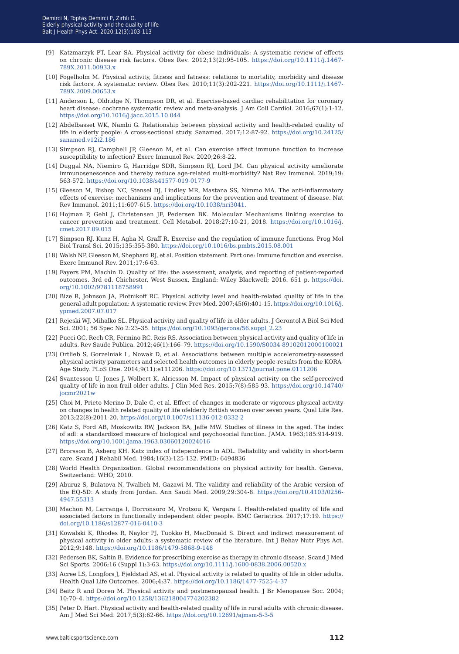- [9] Katzmarzyk PT, Lear SA. Physical activity for obese individuals: A systematic review of effects on chronic disease risk factors. Obes Rev. 2012;13(2):95-105. [https://doi.org/10.1111/j.1467-](https://doi.org/10.1111/j.1467-789X.2011.00933.x) [789X.2011.00933.x](https://doi.org/10.1111/j.1467-789X.2011.00933.x)
- [10] Fogelholm M. Physical activity, fitness and fatness: relations to mortality, morbidity and disease risk factors. A systematic review. Obes Rev. 2010;11(3):202-221. [https://doi.org/10.1111/j.1467-](https://doi.org/10.1111/j.1467-789X.2009.00653.x ) [789X.2009.00653.x](https://doi.org/10.1111/j.1467-789X.2009.00653.x )
- [11] Anderson L, Oldridge N, Thompson DR, et al. Exercise-based cardiac rehabilitation for coronary heart disease: cochrane systematic review and meta-analysis. J Am Coll Cardiol. 2016;67(1):1-12. <https://doi.org/10.1016/j.jacc.2015.10.044>
- [12] Abdelbasset WK, Nambi G. Relationship between physical activity and health-related quality of life in elderly people: A cross-sectional study. Sanamed. 2017;12:87-92. [https://doi.org/10.24125/](https://doi.org/10.24125/sanamed.v12i2.186) [sanamed.v12i2.186](https://doi.org/10.24125/sanamed.v12i2.186)
- [13] Simpson RJ, Campbell JP, Gleeson M, et al. Can exercise affect immune function to increase susceptibility to infection? Exerc Immunol Rev. 2020;26:8-22.
- [14] Duggal NA, Niemiro G, Harridge SDR, Simpson RJ, Lord JM. Can physical activity ameliorate immunosenescence and thereby reduce age-related multi-morbidity? Nat Rev Immunol. 2019;19: 563-572.<https://doi.org/10.1038/s41577-019-0177-9>
- [15] Gleeson M, Bishop NC, Stensel DJ, Lindley MR, Mastana SS, Nimmo MA. The anti-inflammatory effects of exercise: mechanisms and implications for the prevention and treatment of disease. Nat Rev Immunol. 2011;11:607-615. [https://doi.org/10.1038/nri3041.](https://doi.org/10.1038/nri3041)
- [16] Hojman P, Gehl J, Christensen JF, Pedersen BK. Molecular Mechanisms linking exercise to cancer prevention and treatment. Cell Metabol. 2018;27:10-21, 2018. [https://doi.org/10.1016/j.](https://doi.org/10.1016/j.cmet.2017.09.015) [cmet.2017.09.015](https://doi.org/10.1016/j.cmet.2017.09.015)
- [17] Simpson RJ, Kunz H, Agha N, Graff R. Exercise and the regulation of immune functions. Prog Mol Biol Transl Sci. 2015;135:355-380. <https://doi.org/10.1016/bs.pmbts.2015.08.001>
- [18] Walsh NP, Gleeson M, Shephard RJ, et al. Position statement. Part one: Immune function and exercise. Exerc Immunol Rev. 2011;17:6-63.
- [19] Fayers PM, Machin D. Quality of life: the assessment, analysis, and reporting of patient-reported outcomes. 3rd ed. Chichester, West Sussex, England: Wiley Blackwell; 2016. 651 p. [https://doi.](https://doi.org/10.1002/9781118758991) [org/10.1002/9781118758991](https://doi.org/10.1002/9781118758991)
- [20] Bize R, Johnson JA, Plotnikoff RC. Physical activity level and health-related quality of life in the general adult population: A systematic review. Prev Med. 2007;45(6):401-15. [https://doi.org/10.1016/j.](https://doi.org/10.1016/j.ypmed.2007.07.017) [ypmed.2007.07.017](https://doi.org/10.1016/j.ypmed.2007.07.017)
- [21] Rejeski WJ, Mihalko SL. Physical activity and quality of life in older adults. J Gerontol A Biol Sci Med Sci. 2001; 56 Spec No 2:23–35. [https://doi.org/10.1093/gerona/56.suppl\\_2.23](https://doi.org/10.1093/gerona/56.suppl_2.23)
- [22] Pucci GC, Rech CR, Fermino RC, Reis RS. Association between physical activity and quality of life in adults. Rev Saude Publica. 2012;46(1):166–79. [https://doi.org/10.1590/S0034-89102012000100021](https://doi.org/10.1590/S0034-89102012000100021
)
- [23] Ortlieb S, Gorzelniak L, Nowak D, et al. Associations between multiple accelerometry-assessed physical activity parameters and selected health outcomes in elderly people-results from the KORA-Age Study. PLoS One. 2014;9(11):e111206. <https://doi.org/10.1371/journal.pone.0111206>
- [24] Svantesson U, Jones J, Wolbert K, Alricsson M. Impact of physical activity on the self-perceived quality of life in non-frail older adults. J Clin Med Res. 2015;7(8):585-93. [https://doi.org/10.14740/](https://doi.org/10.14740/jocmr2021w) [jocmr2021w](https://doi.org/10.14740/jocmr2021w)
- [25] Choi M, Prieto-Merino D, Dale C, et al. Effect of changes in moderate or vigorous physical activity on changes in health related quality of life ofelderly British women over seven years. Qual Life Res. 2013;22(8):2011-20. <https://doi.org/10.1007/s11136-012-0332-2>
- [26] Katz S, Ford AB, Moskowitz RW, Jackson BA, Jaffe MW. Studies of illness in the aged. The index of adl: a standardized measure of biological and psychosocial function. JAMA. 1963;185:914-919. <https://doi.org/10.1001/jama.1963.03060120024016>
- [27] Brorsson B, Asberg KH. Katz index of independence in ADL. Reliability and validity in short-term care. Scand J Rehabil Med. 1984;16(3):125-132. PMID: 6494836
- [28] World Health Organization. Global recommendations on physical activity for health. Geneva, Switzerland: WHO; 2010.
- [29] Aburuz S, Bulatova N, Twalbeh M, Gazawi M. The validity and reliability of the Arabic version of the EQ-5D: A study from Jordan. Ann Saudi Med. 2009;29:304-8. [https://doi.org/10.4103/0256-](https://doi.org/10.4103/0256-4947.55313) [4947.55313](https://doi.org/10.4103/0256-4947.55313)
- [30] Machon M, Larranga I, Dorronsoro M, Vrotsou K, Vergara I. Health-related quality of life and associated factors in functionally independent older people. BMC Geriatrics. 2017;17:19. [https://](https://doi.org/10.1186/s12877-016-0410-3) [doi.org/10.1186/s12877-016-0410-3](https://doi.org/10.1186/s12877-016-0410-3)
- [31] Kowalski K, Rhodes R, Naylor PJ, Tuokko H, MacDonald S. Direct and indirect measurement of physical activity in older adults: a systematic review of the literature. Int J Behav Nutr Phys Act. 2012;9:148. <https://doi.org/10.1186/1479-5868-9-148>
- [32] Pedersen BK, Saltin B. Evidence for prescribing exercise as therapy in chronic disease. Scand J Med Sci Sports. 2006;16 (Suppl 1):3-63. <https://doi.org/10.1111/j.1600-0838.2006.00520.x>
- [33] Acree LS, Longfors J, Fjeldstad AS, et al. Physical activity is related to quality of life in older adults. Health Qual Life Outcomes. 2006;4:37. <https://doi.org/10.1186/1477-7525-4-37>
- [34] Beitz R and Doren M. Physical activity and postmenopausal health. J Br Menopause Soc. 2004; 10:70–4.<https://doi.org/10.1258/136218004774202382>
- [35] Peter D. Hart. Physical activity and health-related quality of life in rural adults with chronic disease. Am J Med Sci Med. 2017;5(3):62-66. <https://doi.org/10.12691/ajmsm-5-3-5>